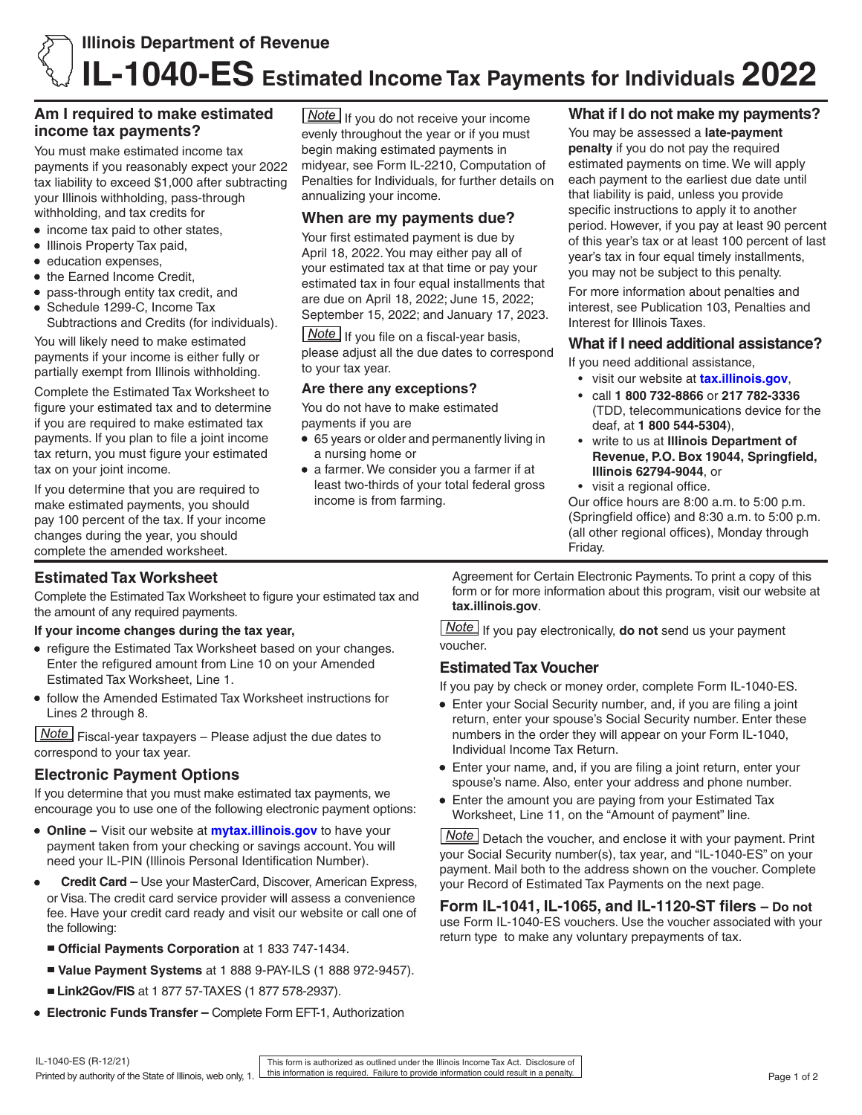## **Am I required to make estimated income tax payments?**

You must make estimated income tax payments if you reasonably expect your 2022 tax liability to exceed \$1,000 after subtracting your Illinois withholding, pass-through withholding, and tax credits for

- income tax paid to other states,
- Illinois Property Tax paid,
- education expenses,
- the Earned Income Credit,
- pass-through entity tax credit, and
- Schedule 1299-C, Income Tax Subtractions and Credits (for individuals).

You will likely need to make estimated payments if your income is either fully or partially exempt from Illinois withholding.

Complete the Estimated Tax Worksheet to figure your estimated tax and to determine if you are required to make estimated tax payments. If you plan to file a joint income tax return, you must figure your estimated tax on your joint income.

If you determine that you are required to make estimated payments, you should pay 100 percent of the tax. If your income changes during the year, you should complete the amended worksheet.

**Note** If you do not receive your income evenly throughout the year or if you must begin making estimated payments in midyear, see Form IL-2210, Computation of Penalties for Individuals, for further details on annualizing your income.

### **When are my payments due?**

Your first estimated payment is due by April 18, 2022. You may either pay all of your estimated tax at that time or pay your estimated tax in four equal installments that are due on April 18, 2022; June 15, 2022; September 15, 2022; and January 17, 2023.

 $\boxed{\text{Note}}$  If you file on a fiscal-year basis, please adjust all the due dates to correspond to your tax year.

#### **Are there any exceptions?**

You do not have to make estimated payments if you are

- 65 years or older and permanently living in a nursing home or
- a farmer. We consider you a farmer if at least two-thirds of your total federal gross income is from farming.

## **What if I do not make my payments?**

You may be assessed a **late-payment penalty** if you do not pay the required estimated payments on time. We will apply each payment to the earliest due date until that liability is paid, unless you provide specific instructions to apply it to another period. However, if you pay at least 90 percent of this year's tax or at least 100 percent of last year's tax in four equal timely installments, you may not be subject to this penalty.

For more information about penalties and interest, see Publication 103, Penalties and Interest for Illinois Taxes.

#### **What if I need additional assistance?**

If you need additional assistance,

- visit our website at **[tax.illinois.gov](http://tax.illinois.gov)**,
- call **1 800 732-8866** or **217 782-3336** (TDD, telecommunications device for the deaf, at **1 800 544-5304**),
- write to us at **Illinois Department of Revenue, P.O. Box 19044, Springfield, Illinois 62794-9044**, or
- visit a regional office.

Our office hours are 8:00 a.m. to 5:00 p.m. (Springfield office) and 8:30 a.m. to 5:00 p.m. (all other regional offices), Monday through Friday.

# **Estimated Tax Worksheet**

Complete the Estimated Tax Worksheet to figure your estimated tax and the amount of any required payments.

#### **If your income changes during the tax year,**

- refigure the Estimated Tax Worksheet based on your changes. Enter the refigured amount from Line 10 on your Amended Estimated Tax Worksheet, Line 1.
- follow the Amended Estimated Tax Worksheet instructions for Lines 2 through 8.

 $\sqrt{\text{Note}}$  Fiscal-vear taxpayers – Please adjust the due dates to correspond to your tax year.

# **Electronic Payment Options**

If you determine that you must make estimated tax payments, we encourage you to use one of the following electronic payment options:

- **Online –** Visit our website at **[mytax.illinois.gov](https://mytax.illinois.gov)** to have your payment taken from your checking or savings account. You will need your IL-PIN (Illinois Personal Identification Number).
- **Credit Card –** Use your MasterCard, Discover, American Express, or Visa. The credit card service provider will assess a convenience fee. Have your credit card ready and visit our website or call one of the following:
	- **Official Payments Corporation** at 1 833 747-1434.
	- **Value Payment Systems** at 1 888 9-PAY-ILS (1 888 972-9457).
	- **Link2Gov/FIS** at 1 877 57-TAXES (1 877 578-2937).
- **Electronic Funds Transfer –** Complete Form EFT-1, Authorization

Agreement for Certain Electronic Payments. To print a copy of this form or for more information about this program, visit our website at **tax.illinois.gov**.

**Note** If you pay electronically, **do not** send us your payment voucher.

### **Estimated Tax Voucher**

If you pay by check or money order, complete Form IL-1040-ES.

- Enter your Social Security number, and, if you are filing a joint return, enter your spouse's Social Security number. Enter these numbers in the order they will appear on your Form IL-1040, Individual Income Tax Return.
- Enter your name, and, if you are filing a joint return, enter your spouse's name. Also, enter your address and phone number.
- Enter the amount you are paying from your Estimated Tax Worksheet, Line 11, on the "Amount of payment" line.

**Note** Detach the voucher, and enclose it with your payment. Print your Social Security number(s), tax year, and "IL-1040-ES" on your payment. Mail both to the address shown on the voucher. Complete your Record of Estimated Tax Payments on the next page.

**Form IL-1041, IL-1065, and IL-1120-ST filers – Do not** use Form IL-1040-ES vouchers. Use the voucher associated with your return type to make any voluntary prepayments of tax.